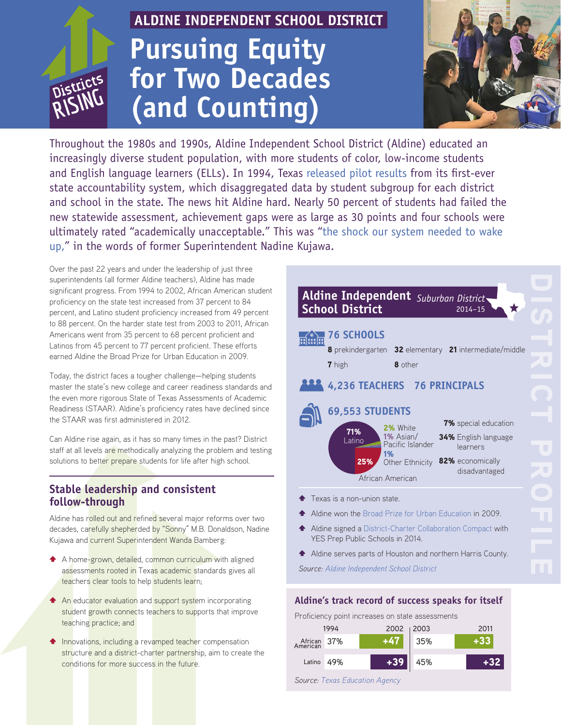# **RISING**

# **ALDINE INDEPENDENT SCHOOL DISTRICT Pursuing Equity for Two Decades (and Counting)**



Throughout the 1980s and 1990s, Aldine Independent School District (Aldine) educated an increasingly diverse student population, with more students of color, low-income students and English language learners (ELLs). In 1994, Texas [released pilot results](https://www.utexas.edu/sites/default/files/files/Heilig_Darling-Hammond%20Paper.pdf) from its first-ever state accountability system, which disaggregated data by student subgroup for each district and school in the state. The news hit Aldine hard. Nearly 50 percent of students had failed the new statewide assessment, achievement gaps were as large as 30 points and four schools were ultimately rated "academically unacceptable." This was ["the shock our system needed to wake](http://pelp.fas.harvard.edu/files/hbs-test/files/pel030p2-1.pdf?m=1441046025)  [up](http://pelp.fas.harvard.edu/files/hbs-test/files/pel030p2-1.pdf?m=1441046025)," in the words of former Superintendent Nadine Kujawa.

Over the past 22 years and under the leadership of just three superintendents (all former Aldine teachers), Aldine has made significant progress. From 1994 to 2002, African American student proficiency on the state test increased from 37 percent to 84 percent, and Latino student proficiency increased from 49 percent to 88 percent. On the harder state test from 2003 to 2011, African Americans went from 35 percent to 68 percent proficient and Latinos from 45 percent to 77 percent proficient. These efforts earned Aldine the Broad Prize for Urban Education in 2009.

Today, the district faces a tougher challenge—helping students master the state's new college and career readiness standards and the even more rigorous State of Texas Assessments of Academic Readiness (STAAR). Aldine's proficiency rates have declined since the STAAR was first administered in 2012.

Can Aldine rise again, as it has so many times in the past? District staff at all levels are methodically analyzing the problem and testing solutions to better prepare students for life after high school.

# **Stable leadership and consistent follow-through**

Aldine has rolled out and refined several major reforms over two decades, carefully shepherded by "Sonny" M.B. Donaldson, Nadine Kujawa and current Superintendent Wanda Bamberg:

- A A home-grown, detailed, common curriculum with aligned assessments rooted in Texas academic standards gives all teachers clear tools to help students learn;
- **A** An educator evaluation and support system incorporating student growth connects teachers to supports that improve teaching practice; and
- **1** Innovations, including a revamped teacher compensation structure and a district-charter partnership, aim to create the conditions for more success in the future.



- \$ Aldine won the [Broad Prize for Urban Education](http://www.broadprize.org/past_winners/2009.html) in 2009.
- \$ Aldine signed a [District-Charter Collaboration Compact](http://www.aldineisd.org/cms/one.aspx?portalId=750&pageId=48494) with YES Prep Public Schools in 2014.
- \$ Aldine serves parts of Houston and northern Harris County.

*Source: [Aldine Independent School District](http://ritter.tea.state.tx.us/cgi/sas/broker?_service=marykay&year4=2015&year2=15&_debug=0&single=N&title=2015+Texas+Academic+Performance+Reports&_program=perfrept.perfmast.sas&prgopt=2015%2Ftapr%2Ftapr.sas&ptype=P&level=district&search=district&namenum=aldine&district=101902)*

# **Aldine's track record of success speaks for itself**

Proficiency point increases on state assessments

| 1994                    |     | 2002   2003 |     | 2011 |  |
|-------------------------|-----|-------------|-----|------|--|
| African 37%<br>American |     | $+47$ 35%   |     |      |  |
| Latino                  | 49% | $+39$       | 45% |      |  |

*Source: [Texas Education Agency](https://rptsvr1.tea.texas.gov/perfreport/tapr/index.html)*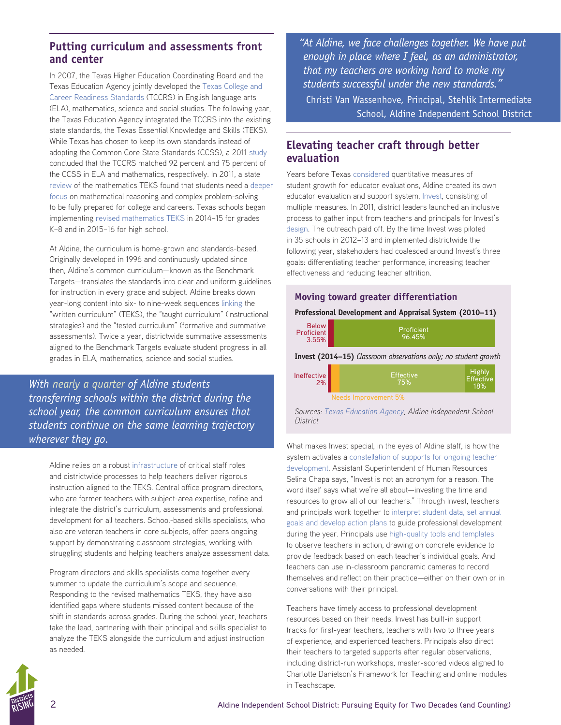# **Putting curriculum and assessments front and center**

In 2007, the Texas Higher Education Coordinating Board and the Texas Education Agency jointly developed the [Texas College and](http://www.thecb.state.tx.us/collegereadiness/crs.pdf)  [Career Readiness Standards](http://www.thecb.state.tx.us/collegereadiness/crs.pdf) (TCCRS) in English language arts (ELA), mathematics, science and social studies. The following year, the Texas Education Agency integrated the TCCRS into the existing state standards, the Texas Essential Knowledge and Skills (TEKS). While Texas has chosen to keep its own standards instead of adopting the Common Core State Standards (CCSS), a 2011 [study](http://www.smarterbalanced.org/wordpress/wp-content/uploads/2011/12/EPIC-Lining-Up-Report.pdf) concluded that the TCCRS matched 92 percent and 75 percent of the CCSS in ELA and mathematics, respectively. In 2011, a state [review](http://tea.texas.gov/Curriculum_and_Instructional_Programs/Curriculum_Standards/TEKS_Texas_Essential_Knowledge_and_Skills_(TEKS)_Review/Mathematics_Texas_Essential_Knowledge_and_Skills/) of the mathematics TEKS found that students need a [deeper](http://tea.texas.gov/WorkArea/linkit.aspx?LinkIdentifier=id&ItemID=2147499964&libID=2147499961)  [focus](http://tea.texas.gov/WorkArea/linkit.aspx?LinkIdentifier=id&ItemID=2147499964&libID=2147499961) on mathematical reasoning and complex problem-solving to be fully prepared for college and careers. Texas schools began implementing [revised mathematics TEKS](http://www.dallasnews.com/news/education/headlines/20140905-new-state-math-standards-mean-many-kids-started-the-year-behind.ece) in 2014–15 for grades K–8 and in 2015–16 for high school.

At Aldine, the curriculum is home-grown and standards-based. Originally developed in 1996 and continuously updated since then, Aldine's common curriculum—known as the Benchmark Targets—translates the standards into clear and uniform guidelines for instruction in every grade and subject. Aldine breaks down year-long content into six- to nine-week sequences [linking](http://www.aldineisd.org/cms/One.aspx?portalId=750&pageId=42334) the "written curriculum" (TEKS), the "taught curriculum" (instructional strategies) and the "tested curriculum" (formative and summative assessments). Twice a year, districtwide summative assessments aligned to the Benchmark Targets evaluate student progress in all grades in ELA, mathematics, science and social studies.

*With [nearly a quarter](http://www.aldineisd.org/community/partners) of Aldine students transferring schools within the district during the school year, the common curriculum ensures that students continue on the same learning trajectory wherever they go.*

Aldine relies on a robust [infrastructure](http://pelp.fas.harvard.edu/files/hbs-test/files/pel030p2-1.pdf?m=1441046025) of critical staff roles and districtwide processes to help teachers deliver rigorous instruction aligned to the TEKS. Central office program directors, who are former teachers with subject-area expertise, refine and integrate the district's curriculum, assessments and professional development for all teachers. School-based skills specialists, who also are veteran teachers in core subjects, offer peers ongoing support by demonstrating classroom strategies, working with struggling students and helping teachers analyze assessment data.

Program directors and skills specialists come together every summer to update the curriculum's scope and sequence. Responding to the revised mathematics TEKS, they have also identified gaps where students missed content because of the shift in standards across grades. During the school year, teachers take the lead, partnering with their principal and skills specialist to analyze the TEKS alongside the curriculum and adjust instruction as needed.

*"At Aldine, we face challenges together. We have put enough in place where I feel, as an administrator, that my teachers are working hard to make my students successful under the new standards."*  Christi Van Wassenhove, Principal, Stehlik Intermediate

School, Aldine Independent School District

# **Elevating teacher craft through better evaluation**

Years before Texas [considered](http://tea.texas.gov/Texas_Educators/Evaluation_and_Support_System/) quantitative measures of student growth for educator evaluations, Aldine created its own educator evaluation and support system, [Invest](http://www.aldineisd.org/cms/one.aspx?portalId=750&pageId=44422), consisting of multiple measures. In 2011, district leaders launched an inclusive process to gather input from teachers and principals for Invest's [design](http://www.cgp.upenn.edu/ope/documents/INVEST%20Brochure%20Final.pdf). The outreach paid off. By the time Invest was piloted in 35 schools in 2012–13 and implemented districtwide the following year, stakeholders had coalesced around Invest's three goals: differentiating teacher performance, increasing teacher effectiveness and reducing teacher attrition.

## **Moving toward greater differentiation**

**Professional Development and Appraisal System (2010–11)**

| <b>Below</b><br><b>Proficient</b><br>3.55%                             | Proficient<br>96.45%    |                                          |  |  |  |  |
|------------------------------------------------------------------------|-------------------------|------------------------------------------|--|--|--|--|
| <b>Invest (2014–15)</b> Classroom observations only; no student growth |                         |                                          |  |  |  |  |
| Ineffective<br>2%                                                      | <b>Effective</b><br>75% | <b>Highly</b><br><b>Effective</b><br>18% |  |  |  |  |
| <b>Needs Improvement 5%</b>                                            |                         |                                          |  |  |  |  |
|                                                                        |                         |                                          |  |  |  |  |

*Sources: [Texas Education Agency,](http://tea.texas.gov/Reports_and_Data/Educator_Data/Educator_Reports_and_Data/) Aldine Independent School District*

What makes Invest special, in the eyes of Aldine staff, is how the system activates a [constellation of supports for ongoing teacher](http://education-first.com/library/publication/giving-teachers-the-feedback-and-support-they-deserve-five-essential-practices/)  [development.](http://education-first.com/library/publication/giving-teachers-the-feedback-and-support-they-deserve-five-essential-practices/) Assistant Superintendent of Human Resources Selina Chapa says, "Invest is not an acronym for a reason. The word itself says what we're all about—investing the time and resources to grow all of our teachers." Through Invest, teachers and principals work together to [interpret student data, set annual](http://www.aldine.k12.tx.us/cms/documents/INV1-2014-15-z.pdf)  [goals and develop action plans](http://www.aldine.k12.tx.us/cms/documents/INV1-2014-15-z.pdf) to guide professional development during the year. Principals use [high-quality tools and templates](http://www.miravia.com/documents/LearningFocusedConversationsGuide.pdf) to observe teachers in action, drawing on concrete evidence to provide feedback based on each teacher's individual goals. And teachers can use in-classroom panoramic cameras to record themselves and reflect on their practice—either on their own or in conversations with their principal.

Teachers have timely access to professional development resources based on their needs. Invest has built-in support tracks for first-year teachers, teachers with two to three years of experience, and experienced teachers. Principals also direct their teachers to targeted supports after regular observations, including district-run workshops, master-scored videos aligned to Charlotte Danielson's Framework for Teaching and online modules in Teachscape.

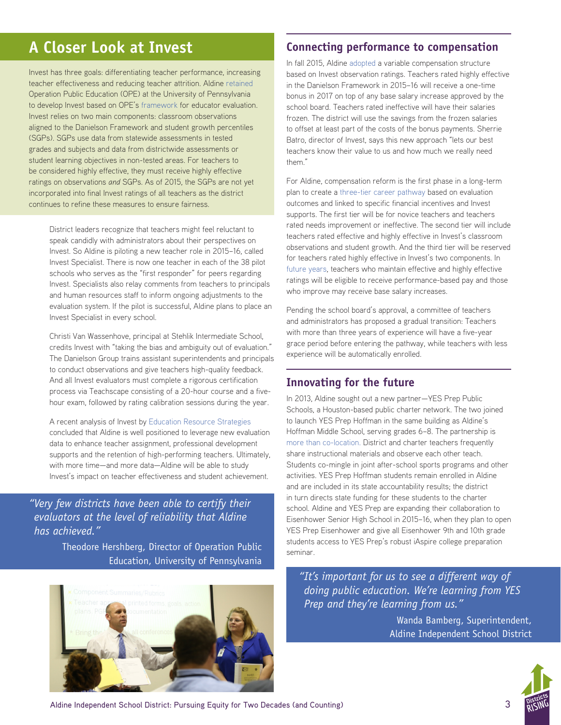# **A Closer Look at Invest**

Invest has three goals: differentiating teacher performance, increasing teacher effectiveness and reducing teacher attrition. Aldine [retained](http://www.cgp.upenn.edu/ope/41_aldine.html) Operation Public Education (OPE) at the University of Pennsylvania to develop Invest based on OPE's [framework](http://hepg.org/hep-home/books/a-grand-bargain-for-education-reform) for educator evaluation. Invest relies on two main components: classroom observations aligned to the Danielson Framework and student growth percentiles (SGPs). SGPs use data from statewide assessments in tested grades and subjects and data from districtwide assessments or student learning objectives in non-tested areas. For teachers to be considered highly effective, they must receive highly effective ratings on observations *and* SGPs. As of 2015, the SGPs are not yet incorporated into final Invest ratings of all teachers as the district continues to refine these measures to ensure fairness.

District leaders recognize that teachers might feel reluctant to speak candidly with administrators about their perspectives on Invest. So Aldine is piloting a new teacher role in 2015–16, called Invest Specialist. There is now one teacher in each of the 38 pilot schools who serves as the "first responder" for peers regarding Invest. Specialists also relay comments from teachers to principals and human resources staff to inform ongoing adjustments to the evaluation system. If the pilot is successful, Aldine plans to place an Invest Specialist in every school.

Christi Van Wassenhove, principal at Stehlik Intermediate School, credits Invest with "taking the bias and ambiguity out of evaluation." The Danielson Group trains assistant superintendents and principals to conduct observations and give teachers high-quality feedback. And all Invest evaluators must complete a rigorous certification process via Teachscape consisting of a 20-hour course and a fivehour exam, followed by rating calibration sessions during the year.

A recent analysis of Invest by [Education Resource Strategies](https://www.erstrategies.org/districts/aldine_independent_school_district) concluded that Aldine is well positioned to leverage new evaluation data to enhance teacher assignment, professional development supports and the retention of high-performing teachers. Ultimately, with more time—and more data—Aldine will be able to study Invest's impact on teacher effectiveness and student achievement.

*"Very few districts have been able to certify their evaluators at the level of reliability that Aldine has achieved."*

> Theodore Hershberg, Director of Operation Public Education, University of Pennsylvania



# **Connecting performance to compensation**

In fall 2015, Aldine [adopted](http://www.aldineisd.org/cms/One.aspx?portalId=750&pageId=6735441) a variable compensation structure based on Invest observation ratings. Teachers rated highly effective in the Danielson Framework in 2015–16 will receive a one-time bonus in 2017 on top of any base salary increase approved by the school board. Teachers rated ineffective will have their salaries frozen. The district will use the savings from the frozen salaries to offset at least part of the costs of the bonus payments. Sherrie Batro, director of Invest, says this new approach "lets our best teachers know their value to us and how much we really need them."

For Aldine, compensation reform is the first phase in a long-term plan to create a [three-tier career pathway](https://www.tasb.org/Services/HR-Services/Hrexchange/2014/September-2014/Shortchanged-lead.aspx) based on evaluation outcomes and linked to specific financial incentives and Invest supports. The first tier will be for novice teachers and teachers rated needs improvement or ineffective. The second tier will include teachers rated effective and highly effective in Invest's classroom observations and student growth. And the third tier will be reserved for teachers rated highly effective in Invest's two components. In [future years,](http://www.cgp.upenn.edu/ope/documents/Invest_Manual-REV-2012-2013.pdf) teachers who maintain effective and highly effective ratings will be eligible to receive performance-based pay and those who improve may receive base salary increases.

Pending the school board's approval, a committee of teachers and administrators has proposed a gradual transition: Teachers with more than three years of experience will have a five-year grace period before entering the pathway, while teachers with less experience will be automatically enrolled.

# **Innovating for the future**

In 2013, Aldine sought out a new partner—YES Prep Public Schools, a Houston-based public charter network. The two joined to launch YES Prep Hoffman in the same building as Aldine's Hoffman Middle School, serving grades 6–8. The partnership is [more than co-location](http://www.charterschoolcenter.org/case-study/district-charter-collaboration-aldine-isd-yes-prep). District and charter teachers frequently share instructional materials and observe each other teach. Students co-mingle in joint after-school sports programs and other activities. YES Prep Hoffman students remain enrolled in Aldine and are included in its state accountability results; the district in turn directs state funding for these students to the charter school. Aldine and YES Prep are expanding their collaboration to Eisenhower Senior High School in 2015–16, when they plan to open YES Prep Eisenhower and give all Eisenhower 9th and 10th grade students access to YES Prep's robust iAspire college preparation seminar.

*"It's important for us to see a different way of doing public education. We're learning from YES Prep and they're learning from us."* 

> Wanda Bamberg, Superintendent, Aldine Independent School District